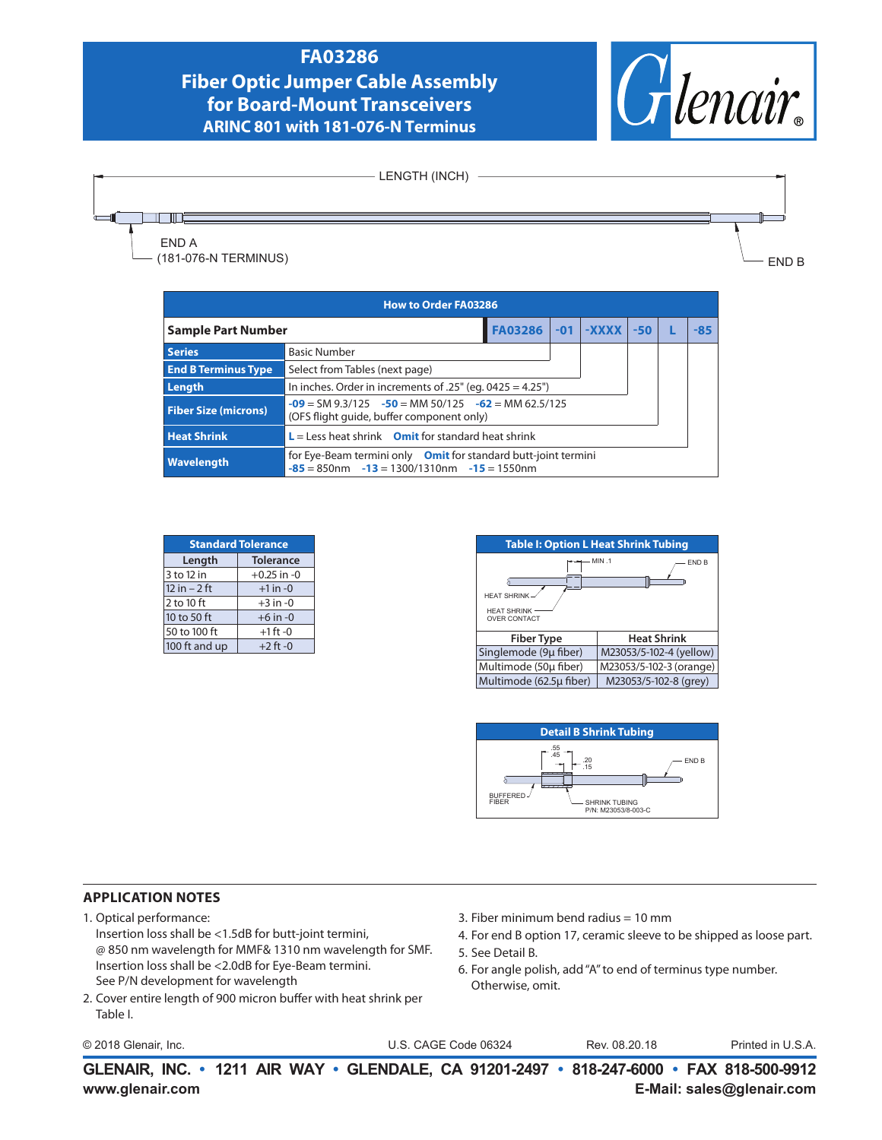### **FA03286**

# **Fiber Optic Jumper Cable Assembly for Board-Mount Transceivers ARINC 801 with 181-076-N Terminus**





| <b>How to Order FA03286</b> |                                                                                                                       |                |  |             |       |       |
|-----------------------------|-----------------------------------------------------------------------------------------------------------------------|----------------|--|-------------|-------|-------|
| <b>Sample Part Number</b>   |                                                                                                                       | <b>FA03286</b> |  | $-01$ -XXXX | $-50$ | $-85$ |
| <b>Series</b>               | <b>Basic Number</b>                                                                                                   |                |  |             |       |       |
| <b>End B Terminus Type</b>  | Select from Tables (next page)                                                                                        |                |  |             |       |       |
| Length                      | In inches. Order in increments of $.25$ " (eg. 0425 = 4.25")                                                          |                |  |             |       |       |
| <b>Fiber Size (microns)</b> | $-09 = SM 9.3/125$ $-50 = MM 50/125$ $-62 = MM 62.5/125$<br>(OFS flight quide, buffer component only)                 |                |  |             |       |       |
| <b>Heat Shrink</b>          | $L =$ Less heat shrink Omit for standard heat shrink                                                                  |                |  |             |       |       |
| <b>Wavelength</b>           | for Eye-Beam termini only Omit for standard butt-joint termini<br>$-85 = 850$ nm $-13 = 1300/1310$ nm $-15 = 1550$ nm |                |  |             |       |       |

| <b>Standard Tolerance</b> |                  |  |  |
|---------------------------|------------------|--|--|
| Length                    | <b>Tolerance</b> |  |  |
| 3 to 12 in                | $+0.25$ in $-0$  |  |  |
| $12$ in $-2$ ft           | $+1$ in $-0$     |  |  |
| $2$ to 10 ft              | $+3$ in $-0$     |  |  |
| 10 to 50 ft               | $+6$ in $-0$     |  |  |
| 50 to 100 ft              | $+1$ ft -0       |  |  |
| 100 ft and up             | $+2$ ft -0       |  |  |





#### **APPLICATION NOTES**

- 1. Optical performance:
	- Insertion loss shall be <1.5dB for butt-joint termini, @ 850 nm wavelength for MMF& 1310 nm wavelength for SMF. Insertion loss shall be <2.0dB for Eye-Beam termini. See P/N development for wavelength
- 2. Cover entire length of 900 micron buffer with heat shrink per Table I.
- © 2018 Glenair, Inc. U.S. CAGE Code 06324 Printed in U.S.A.
- 3. Fiber minimum bend radius = 10 mm
- 4. For end B option 17, ceramic sleeve to be shipped as loose part.
- 5. See Detail B.
- 6. For angle polish, add "A" to end of terminus type number. Otherwise, omit.

Rev. 08.20.18

**www.glenair.com E-Mail: sales@glenair.com GLENAIR, INC. • 1211 AIR WAY • GLENDALE, CA 91201-2497 • 818-247-6000 • FAX 818-500-9912**